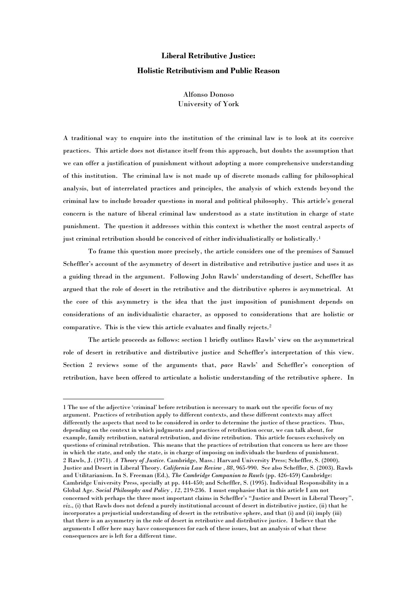# **Liberal Retributive Justice: Holistic Retributivism and Public Reason**

Alfonso Donoso University of York

A traditional way to enquire into the institution of the criminal law is to look at its coercive practices. This article does not distance itself from this approach, but doubts the assumption that we can offer a justification of punishment without adopting a more comprehensive understanding of this institution. The criminal law is not made up of discrete monads calling for philosophical analysis, but of interrelated practices and principles, the analysis of which extends beyond the criminal law to include broader questions in moral and political philosophy. This article"s general concern is the nature of liberal criminal law understood as a state institution in charge of state punishment. The question it addresses within this context is whether the most central aspects of just criminal retribution should be conceived of either individualistically or holistically. $^{1}$ 

To frame this question more precisely, the article considers one of the premises of Samuel Scheffler's account of the asymmetry of desert in distributive and retributive justice and uses it as a guiding thread in the argument. Following John Rawls" understanding of desert, Scheffler has argued that the role of desert in the retributive and the distributive spheres is asymmetrical. At the core of this asymmetry is the idea that the just imposition of punishment depends on considerations of an individualistic character, as opposed to considerations that are holistic or comparative. This is the view this article evaluates and finally rejects.<sup>2</sup>

The article proceeds as follows: section 1 briefly outlines Rawls" view on the asymmetrical role of desert in retributive and distributive justice and Scheffler"s interpretation of this view. Section 2 reviews some of the arguments that, *pace* Rawls" and Scheffler"s conception of retribution, have been offered to articulate a holistic understanding of the retributive sphere. In

<sup>1</sup> The use of the adjective "criminal" before retribution is necessary to mark out the specific focus of my argument. Practices of retribution apply to different contexts, and these different contexts may affect differently the aspects that need to be considered in order to determine the justice of these practices. Thus, depending on the context in which judgments and practices of retribution occur, we can talk about, for example, family retribution, natural retribution, and divine retribution. This article focuses exclusively on questions of criminal retribution. This means that the practices of retribution that concern us here are those in which the state, and only the state, is in charge of imposing on individuals the burdens of punishment. 2 Rawls, J. (1971). *A Theory of Justice.* Cambridge, Mass.: Harvard University Press; Scheffler, S. (2000). Justice and Desert in Liberal Theory. *California Law Review , 88*, 965-990. See also Scheffler, S. (2003). Rawls and Utilitarianism. In S. Freeman (Ed.), *The Cambridge Companion to Rawls* (pp. 426-459) Cambridge: Cambridge University Press, specially at pp. 444-450; and Scheffler, S. (1995). Individual Responsibility in a Global Age. *Social Philosophy and Policy , 12*, 219-236. I must emphasise that in this article I am not concerned with perhaps the three most important claims in Scheffler"s "Justice and Desert in Liberal Theory", *viz*., (i) that Rawls does not defend a purely institutional account of desert in distributive justice, (ii) that he incorporates a prejusticial understanding of desert in the retributive sphere, and that (i) and (ii) imply (iii) that there is an asymmetry in the role of desert in retributive and distributive justice. I believe that the arguments I offer here may have consequences for each of these issues, but an analysis of what these consequences are is left for a different time.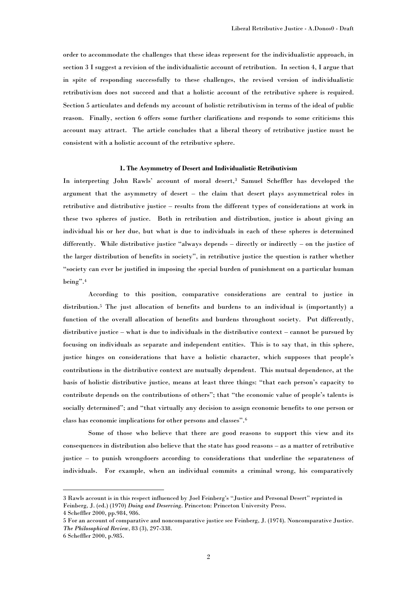order to accommodate the challenges that these ideas represent for the individualistic approach, in section 3 I suggest a revision of the individualistic account of retribution. In section 4, I argue that in spite of responding successfully to these challenges, the revised version of individualistic retributivism does not succeed and that a holistic account of the retributive sphere is required. Section 5 articulates and defends my account of holistic retributivism in terms of the ideal of public reason. Finally, section 6 offers some further clarifications and responds to some criticisms this account may attract. The article concludes that a liberal theory of retributive justice must be consistent with a holistic account of the retributive sphere.

#### **1. The Asymmetry of Desert and Individualistic Retributivism**

In interpreting John Rawls" account of moral desert,<sup>3</sup> Samuel Scheffler has developed the argument that the asymmetry of desert – the claim that desert plays asymmetrical roles in retributive and distributive justice – results from the different types of considerations at work in these two spheres of justice. Both in retribution and distribution, justice is about giving an individual his or her due, but what is due to individuals in each of these spheres is determined differently. While distributive justice "always depends – directly or indirectly – on the justice of the larger distribution of benefits in society", in retributive justice the question is rather whether "society can ever be justified in imposing the special burden of punishment on a particular human being".<sup>4</sup>

According to this position, comparative considerations are central to justice in distribution.<sup>5</sup> The just allocation of benefits and burdens to an individual is (importantly) a function of the overall allocation of benefits and burdens throughout society. Put differently, distributive justice – what is due to individuals in the distributive context – cannot be pursued by focusing on individuals as separate and independent entities. This is to say that, in this sphere, justice hinges on considerations that have a holistic character, which supposes that people"s contributions in the distributive context are mutually dependent. This mutual dependence, at the basis of holistic distributive justice, means at least three things: "that each person"s capacity to contribute depends on the contributions of others"; that "the economic value of people's talents is socially determined"; and "that virtually any decision to assign economic benefits to one person or class has economic implications for other persons and classes".<sup>6</sup>

Some of those who believe that there are good reasons to support this view and its consequences in distribution also believe that the state has good reasons – as a matter of retributive justice – to punish wrongdoers according to considerations that underline the separateness of individuals. For example, when an individual commits a criminal wrong, his comparatively

<sup>3</sup> Rawls account is in this respect influenced by Joel Feinberg"s "Justice and Personal Desert" reprinted in Feinberg, J. (ed.) (1970) *Doing and Deserving*. Princeton: Princeton University Press.

<sup>4</sup> Scheffler 2000, pp.984, 986.

<sup>5</sup> For an account of comparative and noncomparative justice see Feinberg, J. (1974). Noncomparative Justice. *The Philosophical Review*, 83 (3), 297-338.

<sup>6</sup> Scheffler 2000, p.985.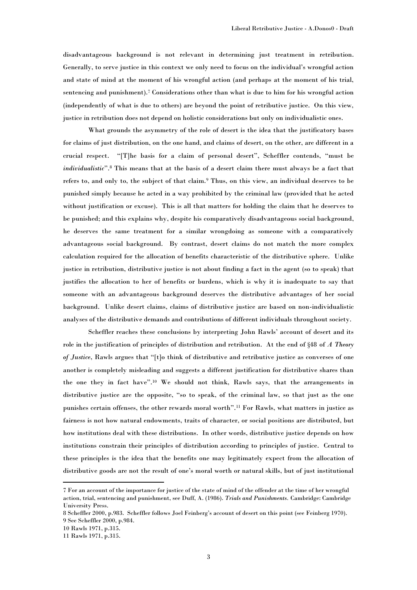disadvantageous background is not relevant in determining just treatment in retribution. Generally, to serve justice in this context we only need to focus on the individual"s wrongful action and state of mind at the moment of his wrongful action (and perhaps at the moment of his trial, sentencing and punishment).<sup>7</sup> Considerations other than what is due to him for his wrongful action (independently of what is due to others) are beyond the point of retributive justice. On this view, justice in retribution does not depend on holistic considerations but only on individualistic ones.

What grounds the asymmetry of the role of desert is the idea that the justificatory bases for claims of just distribution, on the one hand, and claims of desert, on the other, are different in a crucial respect. "[T]he basis for a claim of personal desert", Scheffler contends, "must be *individualistic*".<sup>8</sup> This means that at the basis of a desert claim there must always be a fact that refers to, and only to, the subject of that claim.<sup>9</sup> Thus, on this view, an individual deserves to be punished simply because he acted in a way prohibited by the criminal law (provided that he acted without justification or excuse). This is all that matters for holding the claim that he deserves to be punished; and this explains why, despite his comparatively disadvantageous social background, he deserves the same treatment for a similar wrongdoing as someone with a comparatively advantageous social background. By contrast, desert claims do not match the more complex calculation required for the allocation of benefits characteristic of the distributive sphere. Unlike justice in retribution, distributive justice is not about finding a fact in the agent (so to speak) that justifies the allocation to her of benefits or burdens, which is why it is inadequate to say that someone with an advantageous background deserves the distributive advantages of her social background. Unlike desert claims, claims of distributive justice are based on non-individualistic analyses of the distributive demands and contributions of different individuals throughout society.

Scheffler reaches these conclusions by interpreting John Rawls" account of desert and its role in the justification of principles of distribution and retribution. At the end of §48 of *A Theory of Justice*, Rawls argues that "[t]o think of distributive and retributive justice as converses of one another is completely misleading and suggests a different justification for distributive shares than the one they in fact have".<sup>10</sup> We should not think, Rawls says, that the arrangements in distributive justice are the opposite, "so to speak, of the criminal law, so that just as the one punishes certain offenses, the other rewards moral worth".<sup>11</sup> For Rawls, what matters in justice as fairness is not how natural endowments, traits of character, or social positions are distributed, but how institutions deal with these distributions. In other words, distributive justice depends on how institutions constrain their principles of distribution according to principles of justice. Central to these principles is the idea that the benefits one may legitimately expect from the allocation of distributive goods are not the result of one"s moral worth or natural skills, but of just institutional

<sup>7</sup> For an account of the importance for justice of the state of mind of the offender at the time of her wrongful action, trial, sentencing and punishment, see Duff, A. (1986). *Trials and Punishments.* Cambridge: Cambridge University Press.

<sup>8</sup> Scheffler 2000, p.983. Scheffler follows Joel Feinberg"s account of desert on this point (see Feinberg 1970). 9 See Scheffler 2000, p.984.

<sup>10</sup> Rawls 1971, p.315.

<sup>11</sup> Rawls 1971, p.315.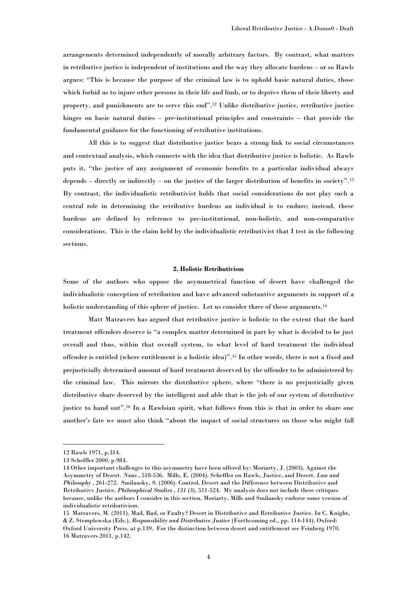arrangements determined independently of morally arbitrary factors. By contrast, what matters in retributive justice is independent of institutions and the way they allocate burdens – or so Rawls argues: "This is because the purpose of the criminal law is to uphold basic natural duties, those which forbid us to injure other persons in their life and limb, or to deprive them of their liberty and property, and punishments are to serve this end". <sup>12</sup> Unlike distributive justice, retributive justice hinges on basic natural duties – pre-institutional principles and constraints – that provide the fundamental guidance for the functioning of retributive institutions.

All this is to suggest that distributive justice bears a strong link to social circumstances and contextual analysis, which connects with the idea that distributive justice is holistic. As Rawls puts it, "the justice of any assignment of economic benefits to a particular individual always depends – directly or indirectly – on the justice of the larger distribution of benefits in society".<sup>13</sup> By contrast, the individualistic retributivist holds that social considerations do not play such a central role in determining the retributive burdens an individual is to endure; instead, these burdens are defined by reference to pre-institutional, non-holistic, and non-comparative considerations. This is the claim held by the individualistic retributivist that I test in the following sections.

## **2. Holistic Retributivism**

Some of the authors who oppose the asymmetrical function of desert have challenged the individualistic conception of retribution and have advanced substantive arguments in support of a holistic understanding of this sphere of justice. Let us consider three of these arguments.<sup>14</sup>

Matt Matravers has argued that retributive justice is holistic to the extent that the hard treatment offenders deserve is "a complex matter determined in part by what is decided to be just overall and thus, within that overall system, to what level of hard treatment the individual offender is entitled (where entitlement is a holistic idea)".<sup>15</sup> In other words, there is not a fixed and prejusticially determined amount of hard treatment deserved by the offender to be administered by the criminal law. This mirrors the distributive sphere, where "there is no prejusticially given distributive share deserved by the intelligent and able that is the job of our system of distributive justice to hand out".<sup>16</sup> In a Rawlsian spirit, what follows from this is that in order to share one another"s fate we must also think "about the impact of social structures on those who might fall

<sup>12</sup> Rawls 1971, p.314.

<sup>13</sup> Scheffler 2000, p.984.

<sup>14</sup> Other important challenges to this asymmetry have been offered by: Moriarty, J. (2003). Against the Asymmetry of Desert. *Nous* , 518-536. Mills, E. (2004). Scheffler on Rawls, Justice, and Desert. *Law and Philosophy* , 261-272. Smilansky, S. (2006). Control, Desert and the Difference between Distributive and Retributive Justice. *Philosophical Studies , 131* (3), 511-524. My analysis does not include these critiques because, unlike the authors I consider in this section, Moriarty, Mills and Smilansky endorse some version of individualistic retributivism.

<sup>15</sup> Matravers, M. (2011). Mad, Bad, or Faulty? Desert in Distributive and Retributive Justice. In C. Knight, & Z. Stemplowska (Eds.), *Responsibility and Distributive Justice* (Forthcoming ed., pp. 114-144). Oxford: Oxford University Press, at p.139. For the distinction between desert and entitlement see Feinberg 1970. 16 Matravers 2011, p.142.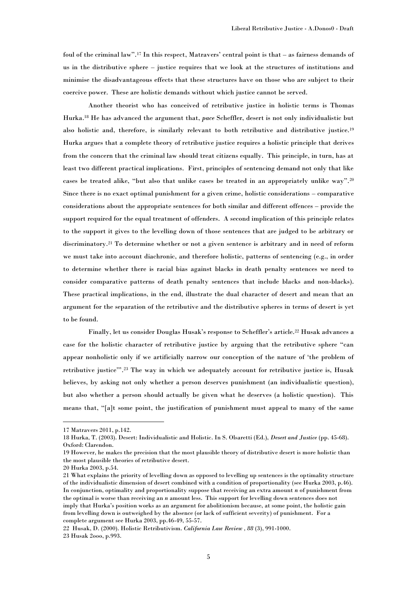foul of the criminal law".<sup>17</sup> In this respect, Matravers" central point is that – as fairness demands of us in the distributive sphere – justice requires that we look at the structures of institutions and minimise the disadvantageous effects that these structures have on those who are subject to their coercive power. These are holistic demands without which justice cannot be served.

Another theorist who has conceived of retributive justice in holistic terms is Thomas Hurka.<sup>18</sup> He has advanced the argument that, *pace* Scheffler, desert is not only individualistic but also holistic and, therefore, is similarly relevant to both retributive and distributive justice.<sup>19</sup> Hurka argues that a complete theory of retributive justice requires a holistic principle that derives from the concern that the criminal law should treat citizens equally. This principle, in turn, has at least two different practical implications. First, principles of sentencing demand not only that like cases be treated alike, "but also that unlike cases be treated in an appropriately unlike way".<sup>20</sup> Since there is no exact optimal punishment for a given crime, holistic considerations – comparative considerations about the appropriate sentences for both similar and different offences – provide the support required for the equal treatment of offenders. A second implication of this principle relates to the support it gives to the levelling down of those sentences that are judged to be arbitrary or discriminatory.<sup>21</sup> To determine whether or not a given sentence is arbitrary and in need of reform we must take into account diachronic, and therefore holistic, patterns of sentencing (e.g., in order to determine whether there is racial bias against blacks in death penalty sentences we need to consider comparative patterns of death penalty sentences that include blacks and non-blacks). These practical implications, in the end, illustrate the dual character of desert and mean that an argument for the separation of the retributive and the distributive spheres in terms of desert is yet to be found.

Finally, let us consider Douglas Husak's response to Scheffler's article.<sup>22</sup> Husak advances a case for the holistic character of retributive justice by arguing that the retributive sphere "can appear nonholistic only if we artificially narrow our conception of the nature of "the problem of retributive justice"".<sup>23</sup> The way in which we adequately account for retributive justice is, Husak believes, by asking not only whether a person deserves punishment (an individualistic question), but also whether a person should actually be given what he deserves (a holistic question). This means that, "[a]t some point, the justification of punishment must appeal to many of the same

<sup>17</sup> Matravers 2011, p.142.

<sup>18</sup> Hurka, T. (2003). Desert: Individualistic and Holistic. In S. Olsaretti (Ed.), *Desert and Justice* (pp. 45-68). Oxford: Clarendon.

<sup>19</sup> However, he makes the precision that the most plausible theory of distributive desert is more holistic than the most plausible theories of retributive desert.

<sup>20</sup> Hurka 2003, p.54.

<sup>21</sup> What explains the priority of levelling down as opposed to levelling up sentences is the optimality structure of the individualistic dimension of desert combined with a condition of proportionality (see Hurka 2003, p.46). In conjunction, optimality and proportionality suppose that receiving an extra amount *n* of punishment from the optimal is worse than receiving an *n* amount less. This support for levelling down sentences does not imply that Hurka"s position works as an argument for abolitionism because, at some point, the holistic gain from levelling down is outweighed by the absence (or lack of sufficient severity) of punishment. For a complete argument see Hurka 2003, pp.46-49, 55-57.

<sup>22</sup> Husak, D. (2000). Holistic Retributivism. *California Law Review , 88* (3), 991-1000. 23 Husak 2ooo, p.993.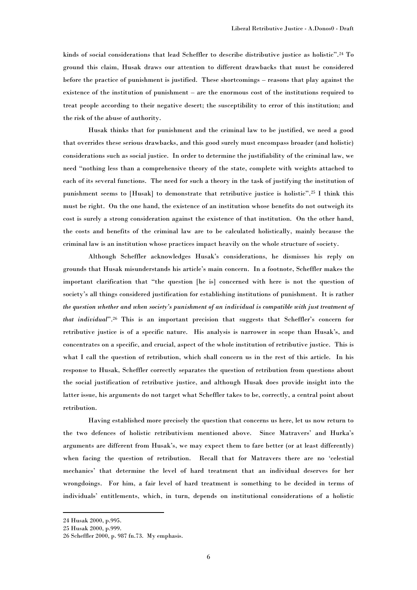kinds of social considerations that lead Scheffler to describe distributive justice as holistic".<sup>24</sup> To ground this claim, Husak draws our attention to different drawbacks that must be considered before the practice of punishment is justified. These shortcomings – reasons that play against the existence of the institution of punishment – are the enormous cost of the institutions required to treat people according to their negative desert; the susceptibility to error of this institution; and the risk of the abuse of authority.

Husak thinks that for punishment and the criminal law to be justified, we need a good that overrides these serious drawbacks, and this good surely must encompass broader (and holistic) considerations such as social justice. In order to determine the justifiability of the criminal law, we need "nothing less than a comprehensive theory of the state, complete with weights attached to each of its several functions. The need for such a theory in the task of justifying the institution of punishment seems to [Husak] to demonstrate that retributive justice is holistic".<sup>25</sup> I think this must be right. On the one hand, the existence of an institution whose benefits do not outweigh its cost is surely a strong consideration against the existence of that institution. On the other hand, the costs and benefits of the criminal law are to be calculated holistically, mainly because the criminal law is an institution whose practices impact heavily on the whole structure of society.

Although Scheffler acknowledges Husak"s considerations, he dismisses his reply on grounds that Husak misunderstands his article"s main concern. In a footnote, Scheffler makes the important clarification that "the question [he is] concerned with here is not the question of society"s all things considered justification for establishing institutions of punishment. It is rather *the question whether and when society's punishment of an individual is compatible with just treatment of that individual*".<sup>26</sup> This is an important precision that suggests that Scheffler's concern for retributive justice is of a specific nature. His analysis is narrower in scope than Husak"s, and concentrates on a specific, and crucial, aspect of the whole institution of retributive justice. This is what I call the question of retribution, which shall concern us in the rest of this article. In his response to Husak, Scheffler correctly separates the question of retribution from questions about the social justification of retributive justice, and although Husak does provide insight into the latter issue, his arguments do not target what Scheffler takes to be, correctly, a central point about retribution.

Having established more precisely the question that concerns us here, let us now return to the two defences of holistic retributivism mentioned above. Since Matravers' and Hurka's arguments are different from Husak"s, we may expect them to fare better (or at least differently) when facing the question of retribution. Recall that for Matravers there are no "celestial mechanics" that determine the level of hard treatment that an individual deserves for her wrongdoings. For him, a fair level of hard treatment is something to be decided in terms of individuals" entitlements, which, in turn, depends on institutional considerations of a holistic

<sup>24</sup> Husak 2000, p.995.

<sup>25</sup> Husak 2000, p.999.

<sup>26</sup> Scheffler 2000, p. 987 fn.73. My emphasis.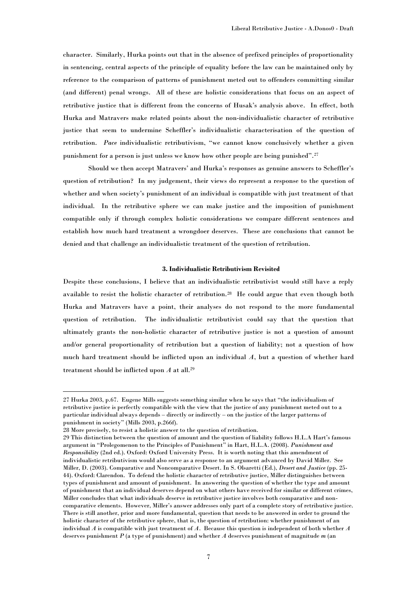character. Similarly, Hurka points out that in the absence of prefixed principles of proportionality in sentencing, central aspects of the principle of equality before the law can be maintained only by reference to the comparison of patterns of punishment meted out to offenders committing similar (and different) penal wrongs. All of these are holistic considerations that focus on an aspect of retributive justice that is different from the concerns of Husak"s analysis above. In effect, both Hurka and Matravers make related points about the non-individualistic character of retributive justice that seem to undermine Scheffler"s individualistic characterisation of the question of retribution. *Pace* individualistic retributivism, "we cannot know conclusively whether a given punishment for a person is just unless we know how other people are being punished".<sup>27</sup>

Should we then accept Matravers" and Hurka"s responses as genuine answers to Scheffler"s question of retribution? In my judgement, their views do represent a response to the question of whether and when society"s punishment of an individual is compatible with just treatment of that individual. In the retributive sphere we can make justice and the imposition of punishment compatible only if through complex holistic considerations we compare different sentences and establish how much hard treatment a wrongdoer deserves. These are conclusions that cannot be denied and that challenge an individualistic treatment of the question of retribution.

## **3. Individualistic Retributivism Revisited**

Despite these conclusions, I believe that an individualistic retributivist would still have a reply available to resist the holistic character of retribution.<sup>28</sup> He could argue that even though both Hurka and Matravers have a point, their analyses do not respond to the more fundamental question of retribution. The individualistic retributivist could say that the question that ultimately grants the non-holistic character of retributive justice is not a question of amount and/or general proportionality of retribution but a question of liability; not a question of how much hard treatment should be inflicted upon an individual *A*, but a question of whether hard treatment should be inflicted upon *A* at all. 29

<sup>27</sup> Hurka 2003, p.67. Eugene Mills suggests something similar when he says that "the individualism of retributive justice is perfectly compatible with the view that the justice of any punishment meted out to a particular individual always depends – directly or indirectly – on the justice of the larger patterns of punishment in society" (Mills 2003, p.266f).

<sup>28</sup> More precisely, to resist a holistic answer to the question of retribution.

<sup>29</sup> This distinction between the question of amount and the question of liability follows H.L.A Hart"s famous argument in "Prolegomenon to the Principles of Punishment" in Hart, H.L.A. (2008). *Punishment and Responsibility* (2nd ed.). Oxford: Oxford University Press. It is worth noting that this amendment of individualistic retributivism would also serve as a response to an argument advanced by David Miller. See Miller, D. (2003). Comparative and Noncomparative Desert. In S. Olsaretti (Ed.), *Desert and Justice* (pp. 25- 44). Oxford: Clarendon. To defend the holistic character of retributive justice, Miller distinguishes between types of punishment and amount of punishment. In answering the question of whether the type and amount of punishment that an individual deserves depend on what others have received for similar or different crimes, Miller concludes that what individuals deserve in retributive justice involves both comparative and noncomparative elements. However, Miller"s answer addresses only part of a complete story of retributive justice. There is still another, prior and more fundamental, question that needs to be answered in order to ground the holistic character of the retributive sphere, that is, the question of retribution: whether punishment of an individual *A* is compatible with just treatment of *A*. Because this question is independent of both whether *A* deserves punishment *P* (a type of punishment) and whether *A* deserves punishment of magnitude *m* (an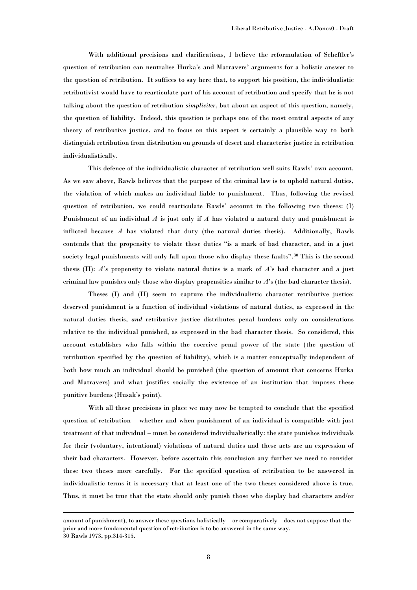With additional precisions and clarifications, I believe the reformulation of Scheffler"s question of retribution can neutralise Hurka"s and Matravers" arguments for a holistic answer to the question of retribution. It suffices to say here that, to support his position, the individualistic retributivist would have to rearticulate part of his account of retribution and specify that he is not talking about the question of retribution *simpliciter*, but about an aspect of this question, namely, the question of liability. Indeed, this question is perhaps one of the most central aspects of any theory of retributive justice, and to focus on this aspect is certainly a plausible way to both distinguish retribution from distribution on grounds of desert and characterise justice in retribution individualistically.

This defence of the individualistic character of retribution well suits Rawls" own account. As we saw above, Rawls believes that the purpose of the criminal law is to uphold natural duties, the violation of which makes an individual liable to punishment. Thus, following the revised question of retribution, we could rearticulate Rawls" account in the following two theses: (I) Punishment of an individual *A* is just only if *A* has violated a natural duty and punishment is inflicted because  $A$  has violated that duty (the natural duties thesis). Additionally, Rawls contends that the propensity to violate these duties "is a mark of bad character, and in a just society legal punishments will only fall upon those who display these faults".<sup>30</sup> This is the second thesis (II): *A*"s propensity to violate natural duties is a mark of *A*"s bad character and a just criminal law punishes only those who display propensities similar to *A*"s (the bad character thesis).

Theses (I) and (II) seem to capture the individualistic character retributive justice: deserved punishment is a function of individual violations of natural duties, as expressed in the natural duties thesis, *and* retributive justice distributes penal burdens only on considerations relative to the individual punished, as expressed in the bad character thesis. So considered, this account establishes who falls within the coercive penal power of the state (the question of retribution specified by the question of liability), which is a matter conceptually independent of both how much an individual should be punished (the question of amount that concerns Hurka and Matravers) and what justifies socially the existence of an institution that imposes these punitive burdens (Husak"s point).

With all these precisions in place we may now be tempted to conclude that the specified question of retribution – whether and when punishment of an individual is compatible with just treatment of that individual – must be considered individualistically: the state punishes individuals for their (voluntary, intentional) violations of natural duties and these acts are an expression of their bad characters. However, before ascertain this conclusion any further we need to consider these two theses more carefully. For the specified question of retribution to be answered in individualistic terms it is necessary that at least one of the two theses considered above is true. Thus, it must be true that the state should only punish those who display bad characters and/or

amount of punishment), to answer these questions holistically – or comparatively – does not suppose that the prior and more fundamental question of retribution is to be answered in the same way. 30 Rawls 1973, pp.314-315.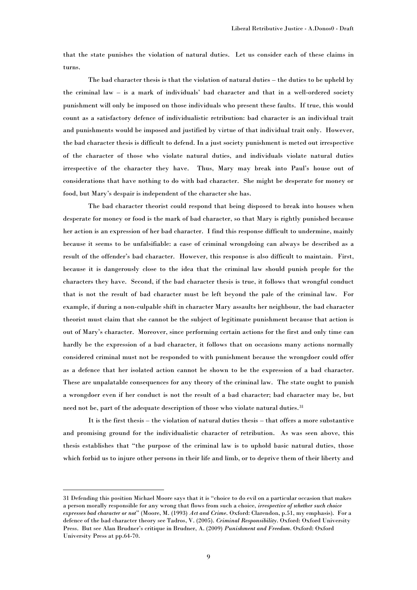that the state punishes the violation of natural duties. Let us consider each of these claims in turns.

The bad character thesis is that the violation of natural duties – the duties to be upheld by the criminal law – is a mark of individuals" bad character and that in a well-ordered society punishment will only be imposed on those individuals who present these faults. If true, this would count as a satisfactory defence of individualistic retribution: bad character is an individual trait and punishments would be imposed and justified by virtue of that individual trait only. However, the bad character thesis is difficult to defend. In a just society punishment is meted out irrespective of the character of those who violate natural duties, and individuals violate natural duties irrespective of the character they have. Thus, Mary may break into Paul"s house out of considerations that have nothing to do with bad character. She might be desperate for money or food, but Mary"s despair is independent of the character she has.

The bad character theorist could respond that being disposed to break into houses when desperate for money or food is the mark of bad character, so that Mary is rightly punished because her action is an expression of her bad character. I find this response difficult to undermine, mainly because it seems to be unfalsifiable: a case of criminal wrongdoing can always be described as a result of the offender"s bad character. However, this response is also difficult to maintain. First, because it is dangerously close to the idea that the criminal law should punish people for the characters they have. Second, if the bad character thesis is true, it follows that wrongful conduct that is not the result of bad character must be left beyond the pale of the criminal law. For example, if during a non-culpable shift in character Mary assaults her neighbour, the bad character theorist must claim that she cannot be the subject of legitimate punishment because that action is out of Mary"s character. Moreover, since performing certain actions for the first and only time can hardly be the expression of a bad character, it follows that on occasions many actions normally considered criminal must not be responded to with punishment because the wrongdoer could offer as a defence that her isolated action cannot be shown to be the expression of a bad character. These are unpalatable consequences for any theory of the criminal law. The state ought to punish a wrongdoer even if her conduct is not the result of a bad character; bad character may be, but need not be, part of the adequate description of those who violate natural duties.<sup>31</sup>

It is the first thesis – the violation of natural duties thesis – that offers a more substantive and promising ground for the individualistic character of retribution. As was seen above, this thesis establishes that "the purpose of the criminal law is to uphold basic natural duties, those which forbid us to injure other persons in their life and limb, or to deprive them of their liberty and

<sup>31</sup> Defending this position Michael Moore says that it is "choice to do evil on a particular occasion that makes a person morally responsible for any wrong that flows from such a choice, *irrespective of whether such choice expresses bad character or not*" (Moore, M. (1993) *Act and Crime*. Oxford: Clarendon, p.51, my emphasis). For a defence of the bad character theory see Tadros, V. (2005). *Criminal Responsibility*. Oxford: Oxford University Press. But see Alan Brudner"s critique in Brudner, A. (2009) *Punishment and Freedom*. Oxford: Oxford University Press at pp.64-70.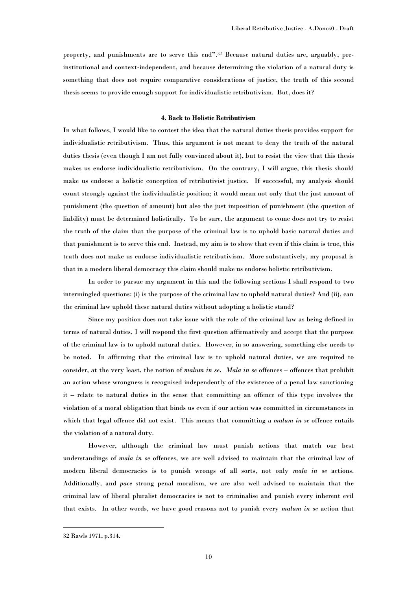property, and punishments are to serve this end".<sup>32</sup> Because natural duties are, arguably, preinstitutional and context-independent, and because determining the violation of a natural duty is something that does not require comparative considerations of justice, the truth of this second thesis seems to provide enough support for individualistic retributivism. But, does it?

## **4. Back to Holistic Retributivism**

In what follows, I would like to contest the idea that the natural duties thesis provides support for individualistic retributivism. Thus, this argument is not meant to deny the truth of the natural duties thesis (even though I am not fully convinced about it), but to resist the view that this thesis makes us endorse individualistic retributivism. On the contrary, I will argue, this thesis should make us endorse a holistic conception of retributivist justice. If successful, my analysis should count strongly against the individualistic position; it would mean not only that the just amount of punishment (the question of amount) but also the just imposition of punishment (the question of liability) must be determined holistically. To be sure, the argument to come does not try to resist the truth of the claim that the purpose of the criminal law is to uphold basic natural duties and that punishment is to serve this end. Instead, my aim is to show that even if this claim is true, this truth does not make us endorse individualistic retributivism. More substantively, my proposal is that in a modern liberal democracy this claim should make us endorse holistic retributivism.

In order to pursue my argument in this and the following sections I shall respond to two intermingled questions: (i) is the purpose of the criminal law to uphold natural duties? And (ii), can the criminal law uphold these natural duties without adopting a holistic stand?

Since my position does not take issue with the role of the criminal law as being defined in terms of natural duties, I will respond the first question affirmatively and accept that the purpose of the criminal law is to uphold natural duties. However, in so answering, something else needs to be noted. In affirming that the criminal law is to uphold natural duties, we are required to consider, at the very least, the notion of *malum in se*. *Mala in se* offences – offences that prohibit an action whose wrongness is recognised independently of the existence of a penal law sanctioning it – relate to natural duties in the sense that committing an offence of this type involves the violation of a moral obligation that binds us even if our action was committed in circumstances in which that legal offence did not exist. This means that committing a *malum in se* offence entails the violation of a natural duty.

However, although the criminal law must punish actions that match our best understandings of *mala in se* offences, we are well advised to maintain that the criminal law of modern liberal democracies is to punish wrongs of all sorts, not only *mala in se* actions. Additionally, and *pace* strong penal moralism, we are also well advised to maintain that the criminal law of liberal pluralist democracies is not to criminalise and punish every inherent evil that exists. In other words, we have good reasons not to punish every *malum in se* action that

<sup>32</sup> Rawls 1971, p.314.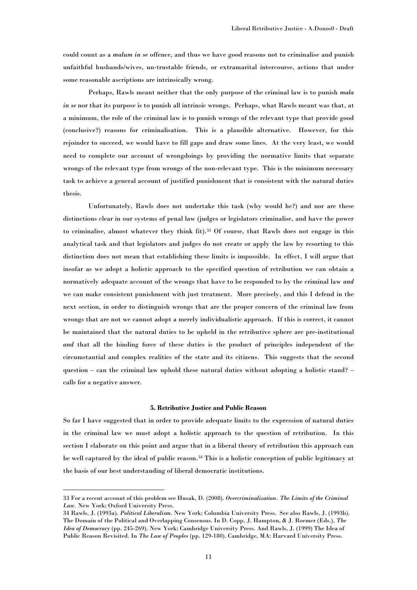could count as a *malum in se* offence, and thus we have good reasons not to criminalise and punish unfaithful husbands/wives, un-trustable friends, or extramarital intercourse, actions that under some reasonable ascriptions are intrinsically wrong.

Perhaps, Rawls meant neither that the only purpose of the criminal law is to punish *mala in se* nor that its purpose is to punish all intrinsic wrongs. Perhaps, what Rawls meant was that, at a minimum, the role of the criminal law is to punish wrongs of the relevant type that provide good (conclusive?) reasons for criminalisation. This is a plausible alternative. However, for this rejoinder to succeed, we would have to fill gaps and draw some lines. At the very least, we would need to complete our account of wrongdoings by providing the normative limits that separate wrongs of the relevant type from wrongs of the non-relevant type. This is the minimum necessary task to achieve a general account of justified punishment that is consistent with the natural duties thesis.

Unfortunately, Rawls does not undertake this task (why would he?) and nor are these distinctions clear in our systems of penal law (judges or legislators criminalise, and have the power to criminalise, almost whatever they think fit).<sup>33</sup> Of course, that Rawls does not engage in this analytical task and that legislators and judges do not create or apply the law by resorting to this distinction does not mean that establishing these limits is impossible. In effect, I will argue that insofar as we adopt a holistic approach to the specified question of retribution we can obtain a normatively adequate account of the wrongs that have to be responded to by the criminal law *and* we can make consistent punishment with just treatment. More precisely, and this I defend in the next section, in order to distinguish wrongs that are the proper concern of the criminal law from wrongs that are not we cannot adopt a merely individualistic approach. If this is correct, it cannot be maintained that the natural duties to be upheld in the retributive sphere are pre-institutional *and* that all the binding force of these duties is the product of principles independent of the circumstantial and complex realities of the state and its citizens. This suggests that the second question – can the criminal law uphold these natural duties without adopting a holistic stand? – calls for a negative answer.

#### **5. Retributive Justice and Public Reason**

So far I have suggested that in order to provide adequate limits to the expression of natural duties in the criminal law we must adopt a holistic approach to the question of retribution. In this section I elaborate on this point and argue that in a liberal theory of retribution this approach can be well captured by the ideal of public reason.<sup>34</sup> This is a holistic conception of public legitimacy at the basis of our best understanding of liberal democratic institutions.

<sup>33</sup> For a recent account of this problem see Husak, D. (2008). *Overcriminalization. The Limits of the Criminal Law.* New York: Oxford University Press.

<sup>34</sup> Rawls, J. (1993a). *Political Liberalism*. New York: Columbia University Press. See also Rawls, J. (1993b). The Domain of the Political and Overlapping Consensus. In D. Copp, J. Hampton, & J. Roemer (Eds.), *The Idea of Democracy* (pp. 245-269). New York: Cambridge University Press. And Rawls, J. (1999) The Idea of Public Reason Revisited. In *The Law of Peoples* (pp. 129-180). Cambridge, MA: Harvard University Press.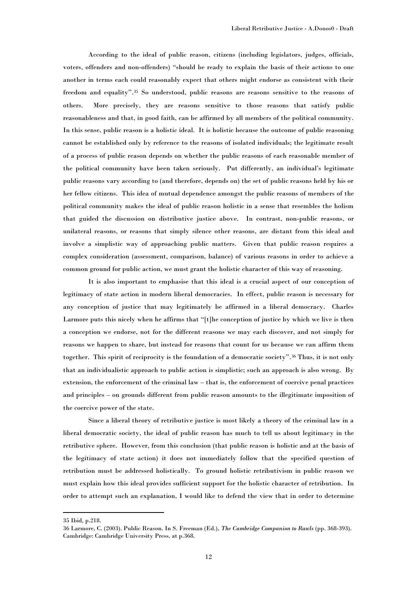According to the ideal of public reason, citizens (including legislators, judges, officials, voters, offenders and non-offenders) "should be ready to explain the basis of their actions to one another in terms each could reasonably expect that others might endorse as consistent with their freedom and equality".<sup>35</sup> So understood, public reasons are reasons sensitive to the reasons of others. More precisely, they are reasons sensitive to those reasons that satisfy public reasonableness and that, in good faith, can be affirmed by all members of the political community. In this sense, public reason is a holistic ideal. It is holistic because the outcome of public reasoning cannot be established only by reference to the reasons of isolated individuals; the legitimate result of a process of public reason depends on whether the public reasons of each reasonable member of the political community have been taken seriously. Put differently, an individual"s legitimate public reasons vary according to (and therefore, depends on) the set of public reasons held by his or her fellow citizens. This idea of mutual dependence amongst the public reasons of members of the political community makes the ideal of public reason holistic in a sense that resembles the holism that guided the discussion on distributive justice above. In contrast, non-public reasons, or unilateral reasons, or reasons that simply silence other reasons, are distant from this ideal and involve a simplistic way of approaching public matters. Given that public reason requires a complex consideration (assessment, comparison, balance) of various reasons in order to achieve a common ground for public action, we must grant the holistic character of this way of reasoning.

It is also important to emphasise that this ideal is a crucial aspect of our conception of legitimacy of state action in modern liberal democracies. In effect, public reason is necessary for any conception of justice that may legitimately be affirmed in a liberal democracy. Charles Larmore puts this nicely when he affirms that "[t]he conception of justice by which we live is then a conception we endorse, not for the different reasons we may each discover, and not simply for reasons we happen to share, but instead for reasons that count for us because we can affirm them together. This spirit of reciprocity is the foundation of a democratic society".<sup>36</sup> Thus, it is not only that an individualistic approach to public action is simplistic; such an approach is also wrong. By extension, the enforcement of the criminal law – that is, the enforcement of coercive penal practices and principles – on grounds different from public reason amounts to the illegitimate imposition of the coercive power of the state.

Since a liberal theory of retributive justice is most likely a theory of the criminal law in a liberal democratic society, the ideal of public reason has much to tell us about legitimacy in the retributive sphere. However, from this conclusion (that public reason is holistic and at the basis of the legitimacy of state action) it does not immediately follow that the specified question of retribution must be addressed holistically. To ground holistic retributivism in public reason we must explain how this ideal provides sufficient support for the holistic character of retribution. In order to attempt such an explanation, I would like to defend the view that in order to determine

<sup>35</sup> Ibid, p.218.

<sup>36</sup> Larmore, C. (2003). Public Reason. In S. Freeman (Ed.), *The Cambridge Companion to Rawls* (pp. 368-393). Cambridge: Cambridge University Press, at p.368.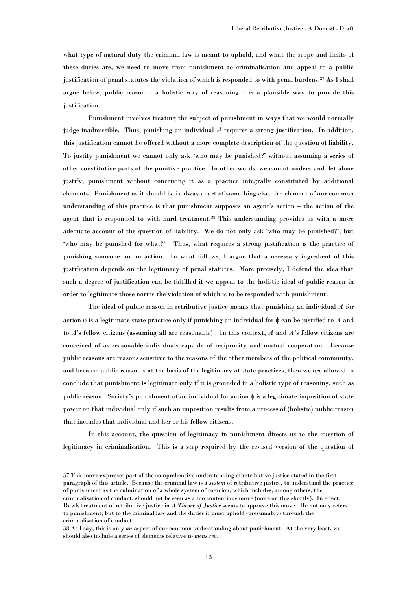what type of natural duty the criminal law is meant to uphold, and what the scope and limits of these duties are, we need to move from punishment to criminalisation and appeal to a public justification of penal statutes the violation of which is responded to with penal burdens.<sup>37</sup> As I shall argue below, public reason  $-$  a holistic way of reasoning  $-$  is a plausible way to provide this justification.

Punishment involves treating the subject of punishment in ways that we would normally judge inadmissible. Thus, punishing an individual *A* requires a strong justification. In addition, this justification cannot be offered without a more complete description of the question of liability. To justify punishment we cannot only ask "who may be punished?" without assuming a series of other constitutive parts of the punitive practice. In other words, we cannot understand, let alone justify, punishment without conceiving it as a practice integrally constituted by additional elements. Punishment as it should be is always part of something else. An element of our common understanding of this practice is that punishment supposes an agent"s action – the action of the agent that is responded to with hard treatment.<sup>38</sup> This understanding provides us with a more adequate account of the question of liability. We do not only ask "who may be punished?", but 'who may be punished for what?' Thus, what requires a strong justification is the practice of punishing someone for an action. In what follows, I argue that a necessary ingredient of this justification depends on the legitimacy of penal statutes. More precisely, I defend the idea that such a degree of justification can be fulfilled if we appeal to the holistic ideal of public reason in order to legitimate those norms the violation of which is to be responded with punishment.

The ideal of public reason in retributive justice means that punishing an individual *A* for action  $\phi$  is a legitimate state practice only if punishing an individual for  $\phi$  can be justified to *A* and to *A*"s fellow citizens (assuming all are reasonable). In this context, *A* and *A*"s fellow citizens are conceived of as reasonable individuals capable of reciprocity and mutual cooperation. Because public reasons are reasons sensitive to the reasons of the other members of the political community, and because public reason is at the basis of the legitimacy of state practices, then we are allowed to conclude that punishment is legitimate only if it is grounded in a holistic type of reasoning, such as public reason. Society's punishment of an individual for action  $\phi$  is a legitimate imposition of state power on that individual only if such an imposition results from a process of (holistic) public reason that includes that individual and her or his fellow citizens.

In this account, the question of legitimacy in punishment directs us to the question of legitimacy in criminalisation. This is a step required by the revised version of the question of

<sup>37</sup> This move expresses part of the comprehensive understanding of retributive justice stated in the first paragraph of this article. Because the criminal law is a *system* of retributive justice, to understand the practice of punishment as the culmination of a whole system of coercion, which includes, among others, the criminalisation of conduct, should not be seen as a too contentious move (more on this shortly). In effect, Rawls treatment of retributive justice in *A Theory of Justice* seems to approve this move. He not only refers to punishment, but to the criminal law and the duties it must uphold (presumably) through the criminalisation of conduct.

<sup>38</sup> As I say, this is only *an* aspect of our common understanding about punishment. At the very least, we should also include a series of elements relative to *mens rea.*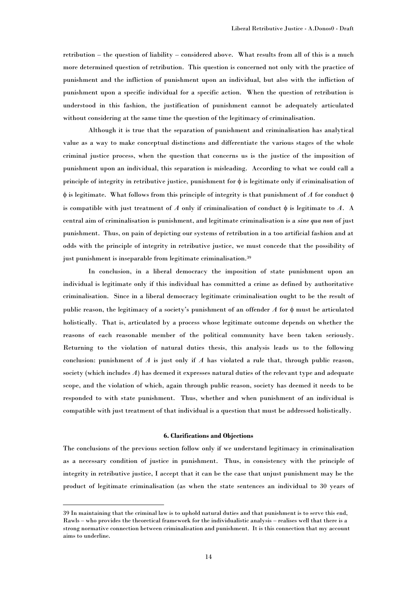retribution – the question of liability – considered above. What results from all of this is a much more determined question of retribution. This question is concerned not only with the practice of punishment and the infliction of punishment upon an individual, but also with the infliction of punishment upon a specific individual for a specific action. When the question of retribution is understood in this fashion, the justification of punishment cannot be adequately articulated without considering at the same time the question of the legitimacy of criminalisation.

Although it is true that the separation of punishment and criminalisation has analytical value as a way to make conceptual distinctions and differentiate the various stages of the whole criminal justice process, when the question that concerns us is the justice of the imposition of punishment upon an individual, this separation is misleading. According to what we could call a principle of integrity in retributive justice, punishment for  $\phi$  is legitimate only if criminalisation of  $\phi$  is legitimate. What follows from this principle of integrity is that punishment of *A* for conduct  $\phi$ is compatible with just treatment of *A* only if criminalisation of conduct  $\phi$  is legitimate to *A*. A central aim of criminalisation is punishment, and legitimate criminalisation is a *sine qua non* of just punishment. Thus, on pain of depicting our systems of retribution in a too artificial fashion and at odds with the principle of integrity in retributive justice, we must concede that the possibility of just punishment is inseparable from legitimate criminalisation.<sup>39</sup>

In conclusion, in a liberal democracy the imposition of state punishment upon an individual is legitimate only if this individual has committed a crime as defined by authoritative criminalisation. Since in a liberal democracy legitimate criminalisation ought to be the result of public reason, the legitimacy of a society's punishment of an offender  $A$  for  $\phi$  must be articulated holistically. That is, articulated by a process whose legitimate outcome depends on whether the reasons of each reasonable member of the political community have been taken seriously. Returning to the violation of natural duties thesis, this analysis leads us to the following conclusion: punishment of *A* is just only if *A* has violated a rule that, through public reason, society (which includes *A*) has deemed it expresses natural duties of the relevant type and adequate scope, and the violation of which, again through public reason, society has deemed it needs to be responded to with state punishment. Thus, whether and when punishment of an individual is compatible with just treatment of that individual is a question that must be addressed holistically.

#### **6. Clarifications and Objections**

The conclusions of the previous section follow only if we understand legitimacy in criminalisation as a necessary condition of justice in punishment. Thus, in consistency with the principle of integrity in retributive justice, I accept that it can be the case that unjust punishment may be the product of legitimate criminalisation (as when the state sentences an individual to 30 years of

<sup>39</sup> In maintaining that the criminal law is to uphold natural duties and that punishment is to serve this end, Rawls – who provides the theoretical framework for the individualistic analysis – realises well that there is a strong normative connection between criminalisation and punishment. It is this connection that my account aims to underline.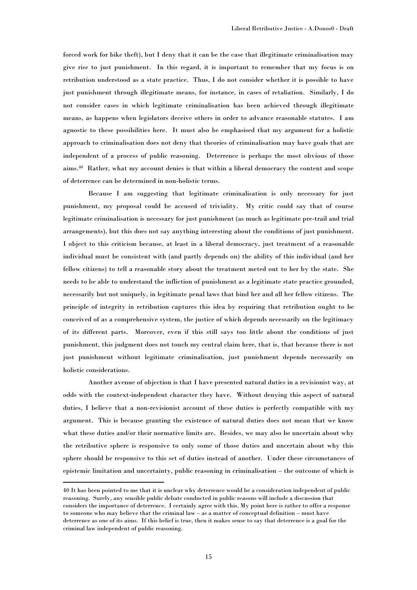forced work for bike theft), but I deny that it can be the case that illegitimate criminalisation may give rise to just punishment. In this regard, it is important to remember that my focus is on retribution understood as a state practice. Thus, I do not consider whether it is possible to have just punishment through illegitimate means, for instance, in cases of retaliation. Similarly, I do not consider cases in which legitimate criminalisation has been achieved through illegitimate means, as happens when legislators deceive others in order to advance reasonable statutes. I am agnostic to these possibilities here. It must also be emphasised that my argument for a holistic approach to criminalisation does not deny that theories of criminalisation may have goals that are independent of a process of public reasoning. Deterrence is perhaps the most obvious of those aims.<sup>40</sup> Rather, what my account denies is that within a liberal democracy the content and scope of deterrence can be determined in non-holistic terms.

Because I am suggesting that legitimate criminalisation is only necessary for just punishment, my proposal could be accused of triviality. My critic could say that of course legitimate criminalisation is necessary for just punishment (as much as legitimate pre-trail and trial arrangements), but this does not say anything interesting about the conditions of just punishment. I object to this criticism because, at least in a liberal democracy, just treatment of a reasonable individual must be consistent with (and partly depends on) the ability of this individual (and her fellow citizens) to tell a reasonable story about the treatment meted out to her by the state. She needs to be able to understand the infliction of punishment as a legitimate state practice grounded, necessarily but not uniquely, in legitimate penal laws that bind her and all her fellow citizens. The principle of integrity in retribution captures this idea by requiring that retribution ought to be conceived of as a comprehensive system, the justice of which depends necessarily on the legitimacy of its different parts. Moreover, even if this still says too little about the conditions of just punishment, this judgment does not touch my central claim here, that is, that because there is not just punishment without legitimate criminalisation, just punishment depends necessarily on holistic considerations.

Another avenue of objection is that I have presented natural duties in a revisionist way, at odds with the context-independent character they have. Without denying this aspect of natural duties, I believe that a non-revisionist account of these duties is perfectly compatible with my argument. This is because granting the existence of natural duties does not mean that we know what these duties and/or their normative limits are. Besides, we may also be uncertain about why the retributive sphere is responsive to only some of those duties and uncertain about why this sphere should be responsive to this set of duties instead of another. Under these circumstances of epistemic limitation and uncertainty, public reasoning in criminalisation – the outcome of which is

<sup>40</sup> It has been pointed to me that it is unclear why deterrence would be a consideration independent of public reasoning. Surely, any sensible public debate conducted in public reasons will include a discussion that considers the importance of deterrence. I certainly agree with this. My point here is rather to offer a response to someone who may believe that the criminal law – as a matter of conceptual definition – must have deterrence as one of its aims. If this belief is true, then it makes sense to say that deterrence is a goal for the criminal law independent of public reasoning.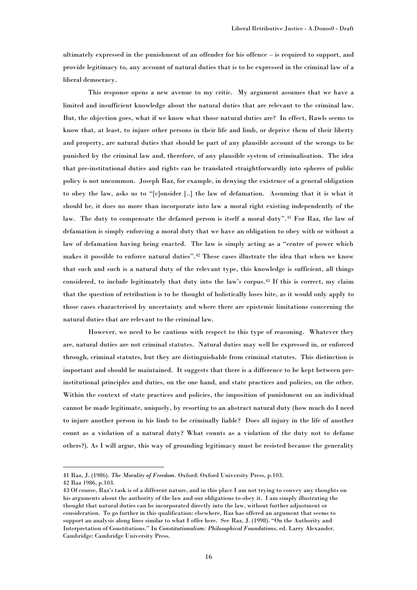ultimately expressed in the punishment of an offender for his offence – is required to support, and provide legitimacy to, any account of natural duties that is to be expressed in the criminal law of a liberal democracy.

This response opens a new avenue to my critic. My argument assumes that we have a limited and insufficient knowledge about the natural duties that are relevant to the criminal law. But, the objection goes, what if we know what those natural duties are? In effect, Rawls seems to know that, at least, to injure other persons in their life and limb, or deprive them of their liberty and property, are natural duties that should be part of any plausible account of the wrongs to be punished by the criminal law and, therefore, of any plausible system of criminalisation. The idea that pre-institutional duties and rights can be translated straightforwardly into spheres of public policy is not uncommon. Joseph Raz, for example, in denying the existence of a general obligation to obey the law, asks us to "[c]onsider [..] the law of defamation. Assuming that it is what it should be, it does no more than incorporate into law a moral right existing independently of the law. The duty to compensate the defamed person is itself a moral duty".<sup>41</sup> For Raz, the law of defamation is simply enforcing a moral duty that we have an obligation to obey with or without a law of defamation having being enacted. The law is simply acting as a "centre of power which makes it possible to enforce natural duties".<sup>42</sup> These cases illustrate the idea that when we know that such and such is a natural duty of the relevant type, this knowledge is sufficient, all things considered, to include legitimately that duty into the law"s corpus.<sup>43</sup> If this is correct, my claim that the question of retribution is to be thought of holistically loses bite, as it would only apply to those cases characterised by uncertainty and where there are epistemic limitations concerning the natural duties that are relevant to the criminal law.

However, we need to be cautious with respect to this type of reasoning. Whatever they are, natural duties are not criminal statutes. Natural duties may well be expressed in, or enforced through, criminal statutes, but they are distinguishable from criminal statutes. This distinction is important and should be maintained. It suggests that there is a difference to be kept between preinstitutional principles and duties, on the one hand, and state practices and policies, on the other. Within the context of state practices and policies, the imposition of punishment on an individual cannot be made legitimate, uniquely, by resorting to an abstract natural duty (how much do I need to injure another person in his limb to be criminally liable? Does all injury in the life of another count as a violation of a natural duty? What counts as a violation of the duty not to defame others?). As I will argue, this way of grounding legitimacy must be resisted because the generality

<sup>41</sup> Raz, J. (1986). *The Morality of Freedom.* Oxford: Oxford University Press, p.103.

<sup>42</sup> Raz 1986, p.103.

<sup>43</sup> Of course, Raz"s task is of a different nature, and in this place I am not trying to convey any thoughts on his arguments about the authority of the law and our obligations to obey it. I am simply illustrating the thought that natural duties can be incorporated directly into the law, without further adjustment or consideration. To go further in this qualification: elsewhere, Raz has offered an argument that seems to support an analysis along lines similar to what I offer here. See Raz, J. (1998). "On the Authority and Interpretation of Constitutions." In *Constitutionalism: Philosophical Foundations*, ed. Larry Alexander. Cambridge: Cambridge University Press.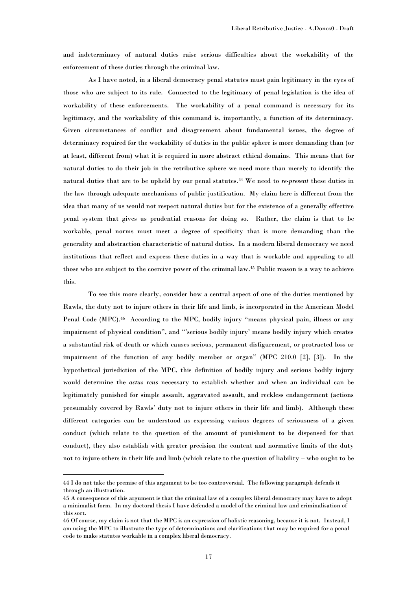and indeterminacy of natural duties raise serious difficulties about the workability of the enforcement of these duties through the criminal law.

As I have noted, in a liberal democracy penal statutes must gain legitimacy in the eyes of those who are subject to its rule. Connected to the legitimacy of penal legislation is the idea of workability of these enforcements. The workability of a penal command is necessary for its legitimacy, and the workability of this command is, importantly, a function of its determinacy. Given circumstances of conflict and disagreement about fundamental issues, the degree of determinacy required for the workability of duties in the public sphere is more demanding than (or at least, different from) what it is required in more abstract ethical domains. This means that for natural duties to do their job in the retributive sphere we need more than merely to identify the natural duties that are to be upheld by our penal statutes.<sup>44</sup> We need to *re-present* these duties in the law through adequate mechanisms of public justification. My claim here is different from the idea that many of us would not respect natural duties but for the existence of a generally effective penal system that gives us prudential reasons for doing so. Rather, the claim is that to be workable, penal norms must meet a degree of specificity that is more demanding than the generality and abstraction characteristic of natural duties. In a modern liberal democracy we need institutions that reflect and express these duties in a way that is workable and appealing to all those who are subject to the coercive power of the criminal law. <sup>45</sup> Public reason is a way to achieve this.

To see this more clearly, consider how a central aspect of one of the duties mentioned by Rawls, the duty not to injure others in their life and limb, is incorporated in the American Model Penal Code (MPC).<sup>46</sup> According to the MPC, bodily injury "means physical pain, illness or any impairment of physical condition", and ""serious bodily injury" means bodily injury which creates a substantial risk of death or which causes serious, permanent disfigurement, or protracted loss or impairment of the function of any bodily member or organ" (MPC 210.0 [2], [3]). In the hypothetical jurisdiction of the MPC, this definition of bodily injury and serious bodily injury would determine the *actus reus* necessary to establish whether and when an individual can be legitimately punished for simple assault, aggravated assault, and reckless endangerment (actions presumably covered by Rawls" duty not to injure others in their life and limb). Although these different categories can be understood as expressing various degrees of seriousness of a given conduct (which relate to the question of the amount of punishment to be dispensed for that conduct), they also establish with greater precision the content and normative limits of the duty not to injure others in their life and limb (which relate to the question of liability – who ought to be

<sup>44</sup> I do not take the premise of this argument to be too controversial. The following paragraph defends it through an illustration.

<sup>45</sup> A consequence of this argument is that the criminal law of a complex liberal democracy may have to adopt a minimalist form. In my doctoral thesis I have defended a model of the criminal law and criminalisation of this sort.

<sup>46</sup> Of course, my claim is not that the MPC is an expression of holistic reasoning, because it is not. Instead, I am using the MPC to illustrate the type of determinations and clarifications that may be required for a penal code to make statutes workable in a complex liberal democracy.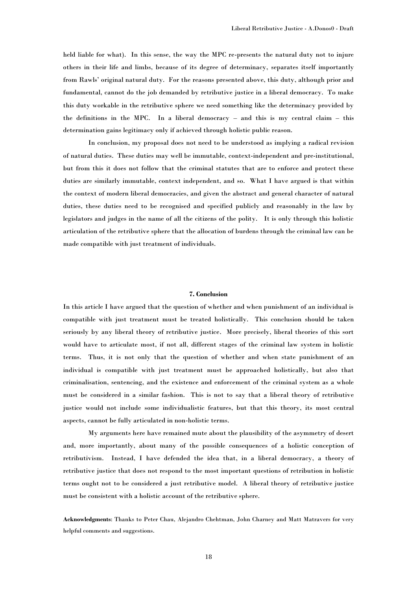held liable for what). In this sense, the way the MPC re-presents the natural duty not to injure others in their life and limbs, because of its degree of determinacy, separates itself importantly from Rawls" original natural duty. For the reasons presented above, this duty, although prior and fundamental, cannot do the job demanded by retributive justice in a liberal democracy. To make this duty workable in the retributive sphere we need something like the determinacy provided by the definitions in the MPC. In a liberal democracy – and this is my central claim – this determination gains legitimacy only if achieved through holistic public reason.

In conclusion, my proposal does not need to be understood as implying a radical revision of natural duties. These duties may well be immutable, context-independent and pre-institutional, but from this it does not follow that the criminal statutes that are to enforce and protect these duties are similarly immutable, context independent, and so. What I have argued is that within the context of modern liberal democracies, and given the abstract and general character of natural duties, these duties need to be recognised and specified publicly and reasonably in the law by legislators and judges in the name of all the citizens of the polity. It is only through this holistic articulation of the retributive sphere that the allocation of burdens through the criminal law can be made compatible with just treatment of individuals.

# **7. Conclusion**

In this article I have argued that the question of whether and when punishment of an individual is compatible with just treatment must be treated holistically. This conclusion should be taken seriously by any liberal theory of retributive justice. More precisely, liberal theories of this sort would have to articulate most, if not all, different stages of the criminal law system in holistic terms. Thus, it is not only that the question of whether and when state punishment of an individual is compatible with just treatment must be approached holistically, but also that criminalisation, sentencing, and the existence and enforcement of the criminal system as a whole must be considered in a similar fashion. This is not to say that a liberal theory of retributive justice would not include some individualistic features, but that this theory, its most central aspects, cannot be fully articulated in non-holistic terms.

My arguments here have remained mute about the plausibility of the asymmetry of desert and, more importantly, about many of the possible consequences of a holistic conception of retributivism. Instead, I have defended the idea that, in a liberal democracy, a theory of retributive justice that does not respond to the most important questions of retribution in holistic terms ought not to be considered a just retributive model. A liberal theory of retributive justice must be consistent with a holistic account of the retributive sphere.

**Acknowledgments**: Thanks to Peter Chau, Alejandro Chehtman, John Charney and Matt Matravers for very helpful comments and suggestions.